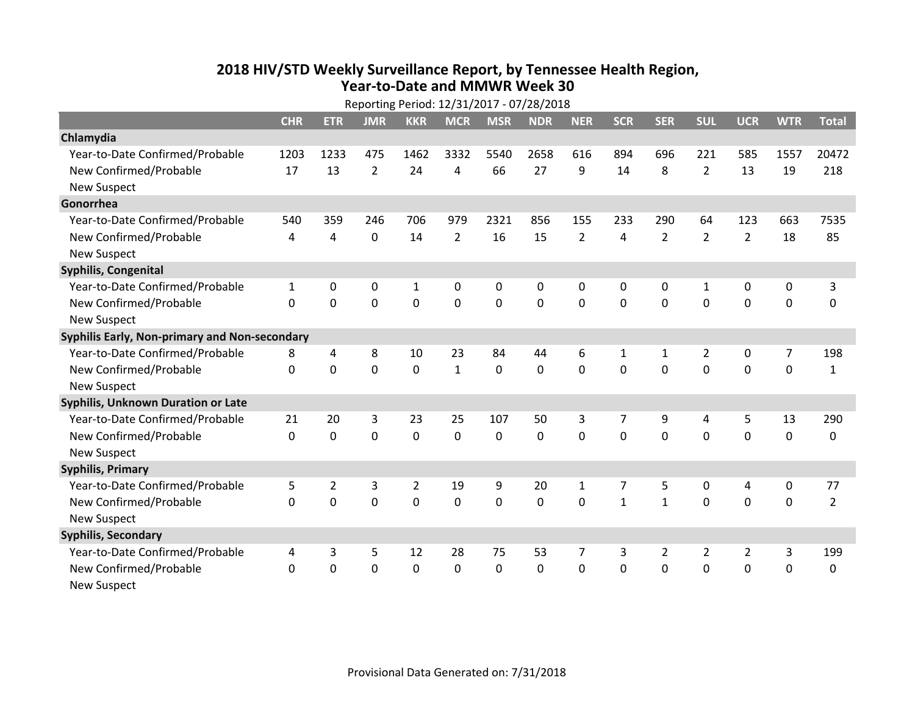## **2018 HIV /STD Weekl y Surveillance Report, b y Tennessee Health Region, Year‐to‐Date and MMWR Week 30**

| Reporting Period: 12/31/2017 - 07/28/2018     |              |                |                |                |                |                |                |                |                |                |                |                  |                  |                |
|-----------------------------------------------|--------------|----------------|----------------|----------------|----------------|----------------|----------------|----------------|----------------|----------------|----------------|------------------|------------------|----------------|
|                                               | <b>CHR</b>   | <b>ETR</b>     | <b>JMR</b>     | <b>KKR</b>     | <b>MCR</b>     | <b>MSR</b>     | <b>NDR</b>     | <b>NER</b>     | <b>SCR</b>     | <b>SER</b>     | <b>SUL</b>     | <b>UCR</b>       | <b>WTR</b>       | <b>Total</b>   |
| Chlamydia                                     |              |                |                |                |                |                |                |                |                |                |                |                  |                  |                |
| Year-to-Date Confirmed/Probable               | 1203         | 1233           | 475            | 1462           | 3332           | 5540           | 2658           | 616            | 894            | 696            | 221            | 585              | 1557             | 20472          |
| New Confirmed/Probable                        | 17           | 13             | $\overline{2}$ | 24             | 4              | 66             | 27             | 9              | 14             | 8              | $\overline{2}$ | 13               | 19               | 218            |
| <b>New Suspect</b>                            |              |                |                |                |                |                |                |                |                |                |                |                  |                  |                |
| Gonorrhea                                     |              |                |                |                |                |                |                |                |                |                |                |                  |                  |                |
| Year-to-Date Confirmed/Probable               | 540          | 359            | 246            | 706            | 979            | 2321           | 856            | 155            | 233            | 290            | 64             | 123              | 663              | 7535           |
| New Confirmed/Probable                        | 4            | 4              | $\mathbf 0$    | 14             | $\overline{2}$ | 16             | 15             | $\overline{2}$ | 4              | $\overline{2}$ | $\overline{2}$ | $\overline{2}$   | 18               | 85             |
| <b>New Suspect</b>                            |              |                |                |                |                |                |                |                |                |                |                |                  |                  |                |
| Syphilis, Congenital                          |              |                |                |                |                |                |                |                |                |                |                |                  |                  |                |
| Year-to-Date Confirmed/Probable               | $\mathbf{1}$ | 0              | 0              | $\mathbf{1}$   | 0              | 0              | 0              | 0              | $\Omega$       | $\mathbf{0}$   | 1              | 0                | 0                | 3              |
| New Confirmed/Probable                        | $\Omega$     | $\Omega$       | 0              | $\mathbf 0$    | $\overline{0}$ | $\overline{0}$ | $\overline{0}$ | $\mathbf{0}$   | $\mathbf 0$    | $\Omega$       | $\mathbf{0}$   | $\mathbf 0$      | $\mathbf 0$      | $\mathbf 0$    |
| <b>New Suspect</b>                            |              |                |                |                |                |                |                |                |                |                |                |                  |                  |                |
| Syphilis Early, Non-primary and Non-secondary |              |                |                |                |                |                |                |                |                |                |                |                  |                  |                |
| Year-to-Date Confirmed/Probable               | 8            | 4              | 8              | 10             | 23             | 84             | 44             | 6              | 1              | 1              | $\overline{2}$ | 0                | 7                | 198            |
| New Confirmed/Probable                        | $\Omega$     | 0              | 0              | $\mathbf 0$    | $\mathbf{1}$   | $\mathbf 0$    | $\mathbf{0}$   | 0              | $\Omega$       | $\Omega$       | $\mathbf{0}$   | $\mathbf 0$      | $\mathbf 0$      | $\mathbf{1}$   |
| <b>New Suspect</b>                            |              |                |                |                |                |                |                |                |                |                |                |                  |                  |                |
| Syphilis, Unknown Duration or Late            |              |                |                |                |                |                |                |                |                |                |                |                  |                  |                |
| Year-to-Date Confirmed/Probable               | 21           | 20             | 3              | 23             | 25             | 107            | 50             | 3              | $\overline{7}$ | 9              | 4              | 5                | 13               | 290            |
| New Confirmed/Probable                        | $\Omega$     | 0              | 0              | $\mathbf 0$    | $\mathbf 0$    | $\mathbf 0$    | $\mathbf{0}$   | 0              | $\Omega$       | $\Omega$       | $\Omega$       | $\mathbf 0$      | $\mathbf 0$      | $\Omega$       |
| <b>New Suspect</b>                            |              |                |                |                |                |                |                |                |                |                |                |                  |                  |                |
| <b>Syphilis, Primary</b>                      |              |                |                |                |                |                |                |                |                |                |                |                  |                  |                |
| Year-to-Date Confirmed/Probable               | 5            | $\overline{2}$ | 3              | $\overline{2}$ | 19             | 9              | 20             | 1              | 7              | 5              | $\mathbf 0$    | 4                | $\boldsymbol{0}$ | 77             |
| New Confirmed/Probable                        | $\Omega$     | 0              | $\mathbf 0$    | $\mathbf 0$    | 0              | $\mathbf 0$    | $\mathbf 0$    | 0              | $\mathbf{1}$   | $\mathbf{1}$   | $\mathbf 0$    | $\mathbf 0$      | $\mathbf 0$      | $\overline{2}$ |
| <b>New Suspect</b>                            |              |                |                |                |                |                |                |                |                |                |                |                  |                  |                |
| <b>Syphilis, Secondary</b>                    |              |                |                |                |                |                |                |                |                |                |                |                  |                  |                |
| Year-to-Date Confirmed/Probable               | 4            | 3              | 5              | 12             | 28             | 75             | 53             | 7              | 3              | $\overline{2}$ | $\overline{2}$ | $\overline{2}$   | 3                | 199            |
| New Confirmed/Probable                        | $\mathbf 0$  | 0              | $\mathbf 0$    | $\mathbf 0$    | 0              | 0              | 0              | 0              | $\mathbf 0$    | $\mathbf{0}$   | $\mathbf 0$    | $\boldsymbol{0}$ | $\mathbf 0$      | 0              |
| <b>New Suspect</b>                            |              |                |                |                |                |                |                |                |                |                |                |                  |                  |                |